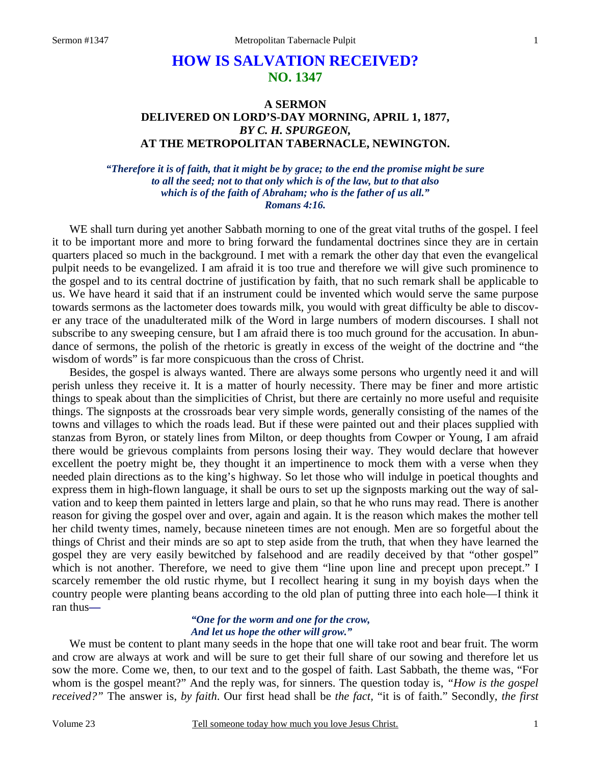# **HOW IS SALVATION RECEIVED? NO. 1347**

## **A SERMON DELIVERED ON LORD'S-DAY MORNING, APRIL 1, 1877,**  *BY C. H. SPURGEON,*  **AT THE METROPOLITAN TABERNACLE, NEWINGTON.**

*"Therefore it is of faith, that it might be by grace; to the end the promise might be sure to all the seed; not to that only which is of the law, but to that also which is of the faith of Abraham; who is the father of us all." Romans 4:16.* 

WE shall turn during yet another Sabbath morning to one of the great vital truths of the gospel. I feel it to be important more and more to bring forward the fundamental doctrines since they are in certain quarters placed so much in the background. I met with a remark the other day that even the evangelical pulpit needs to be evangelized. I am afraid it is too true and therefore we will give such prominence to the gospel and to its central doctrine of justification by faith, that no such remark shall be applicable to us. We have heard it said that if an instrument could be invented which would serve the same purpose towards sermons as the lactometer does towards milk, you would with great difficulty be able to discover any trace of the unadulterated milk of the Word in large numbers of modern discourses. I shall not subscribe to any sweeping censure, but I am afraid there is too much ground for the accusation. In abundance of sermons, the polish of the rhetoric is greatly in excess of the weight of the doctrine and "the wisdom of words" is far more conspicuous than the cross of Christ.

Besides, the gospel is always wanted. There are always some persons who urgently need it and will perish unless they receive it. It is a matter of hourly necessity. There may be finer and more artistic things to speak about than the simplicities of Christ, but there are certainly no more useful and requisite things. The signposts at the crossroads bear very simple words, generally consisting of the names of the towns and villages to which the roads lead. But if these were painted out and their places supplied with stanzas from Byron, or stately lines from Milton, or deep thoughts from Cowper or Young, I am afraid there would be grievous complaints from persons losing their way. They would declare that however excellent the poetry might be, they thought it an impertinence to mock them with a verse when they needed plain directions as to the king's highway. So let those who will indulge in poetical thoughts and express them in high-flown language, it shall be ours to set up the signposts marking out the way of salvation and to keep them painted in letters large and plain, so that he who runs may read. There is another reason for giving the gospel over and over, again and again. It is the reason which makes the mother tell her child twenty times, namely, because nineteen times are not enough. Men are so forgetful about the things of Christ and their minds are so apt to step aside from the truth, that when they have learned the gospel they are very easily bewitched by falsehood and are readily deceived by that "other gospel" which is not another. Therefore, we need to give them "line upon line and precept upon precept." I scarcely remember the old rustic rhyme, but I recollect hearing it sung in my boyish days when the country people were planting beans according to the old plan of putting three into each hole—I think it ran thus*—*

### *"One for the worm and one for the crow, And let us hope the other will grow."*

We must be content to plant many seeds in the hope that one will take root and bear fruit. The worm and crow are always at work and will be sure to get their full share of our sowing and therefore let us sow the more. Come we, then, to our text and to the gospel of faith. Last Sabbath, the theme was, "For whom is the gospel meant?" And the reply was, for sinners. The question today is, *"How is the gospel received?"* The answer is, *by faith*. Our first head shall be *the fact,* "it is of faith." Secondly, *the first*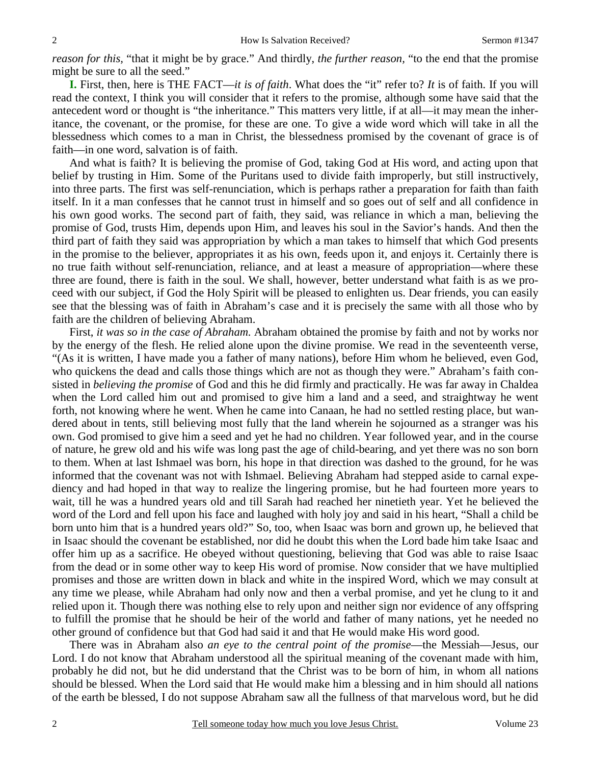*reason for this,* "that it might be by grace." And thirdly, *the further reason,* "to the end that the promise might be sure to all the seed."

**I.** First, then, here is THE FACT—*it is of faith*. What does the "it" refer to? *It* is of faith. If you will read the context, I think you will consider that it refers to the promise, although some have said that the antecedent word or thought is "the inheritance." This matters very little, if at all—it may mean the inheritance, the covenant, or the promise, for these are one. To give a wide word which will take in all the blessedness which comes to a man in Christ, the blessedness promised by the covenant of grace is of faith—in one word, salvation is of faith.

And what is faith? It is believing the promise of God, taking God at His word, and acting upon that belief by trusting in Him. Some of the Puritans used to divide faith improperly, but still instructively, into three parts. The first was self-renunciation, which is perhaps rather a preparation for faith than faith itself. In it a man confesses that he cannot trust in himself and so goes out of self and all confidence in his own good works. The second part of faith, they said, was reliance in which a man, believing the promise of God, trusts Him, depends upon Him, and leaves his soul in the Savior's hands. And then the third part of faith they said was appropriation by which a man takes to himself that which God presents in the promise to the believer, appropriates it as his own, feeds upon it, and enjoys it. Certainly there is no true faith without self-renunciation, reliance, and at least a measure of appropriation—where these three are found, there is faith in the soul. We shall, however, better understand what faith is as we proceed with our subject, if God the Holy Spirit will be pleased to enlighten us. Dear friends, you can easily see that the blessing was of faith in Abraham's case and it is precisely the same with all those who by faith are the children of believing Abraham.

First, *it was so in the case of Abraham.* Abraham obtained the promise by faith and not by works nor by the energy of the flesh. He relied alone upon the divine promise. We read in the seventeenth verse, "(As it is written, I have made you a father of many nations), before Him whom he believed, even God, who quickens the dead and calls those things which are not as though they were." Abraham's faith consisted in *believing the promise* of God and this he did firmly and practically. He was far away in Chaldea when the Lord called him out and promised to give him a land and a seed, and straightway he went forth, not knowing where he went. When he came into Canaan, he had no settled resting place, but wandered about in tents, still believing most fully that the land wherein he sojourned as a stranger was his own. God promised to give him a seed and yet he had no children. Year followed year, and in the course of nature, he grew old and his wife was long past the age of child-bearing, and yet there was no son born to them. When at last Ishmael was born, his hope in that direction was dashed to the ground, for he was informed that the covenant was not with Ishmael. Believing Abraham had stepped aside to carnal expediency and had hoped in that way to realize the lingering promise, but he had fourteen more years to wait, till he was a hundred years old and till Sarah had reached her ninetieth year. Yet he believed the word of the Lord and fell upon his face and laughed with holy joy and said in his heart, "Shall a child be born unto him that is a hundred years old?" So, too, when Isaac was born and grown up, he believed that in Isaac should the covenant be established, nor did he doubt this when the Lord bade him take Isaac and offer him up as a sacrifice. He obeyed without questioning, believing that God was able to raise Isaac from the dead or in some other way to keep His word of promise. Now consider that we have multiplied promises and those are written down in black and white in the inspired Word, which we may consult at any time we please, while Abraham had only now and then a verbal promise, and yet he clung to it and relied upon it. Though there was nothing else to rely upon and neither sign nor evidence of any offspring to fulfill the promise that he should be heir of the world and father of many nations, yet he needed no other ground of confidence but that God had said it and that He would make His word good.

There was in Abraham also *an eye to the central point of the promise*—the Messiah—Jesus, our Lord. I do not know that Abraham understood all the spiritual meaning of the covenant made with him, probably he did not, but he did understand that the Christ was to be born of him, in whom all nations should be blessed. When the Lord said that He would make him a blessing and in him should all nations of the earth be blessed, I do not suppose Abraham saw all the fullness of that marvelous word, but he did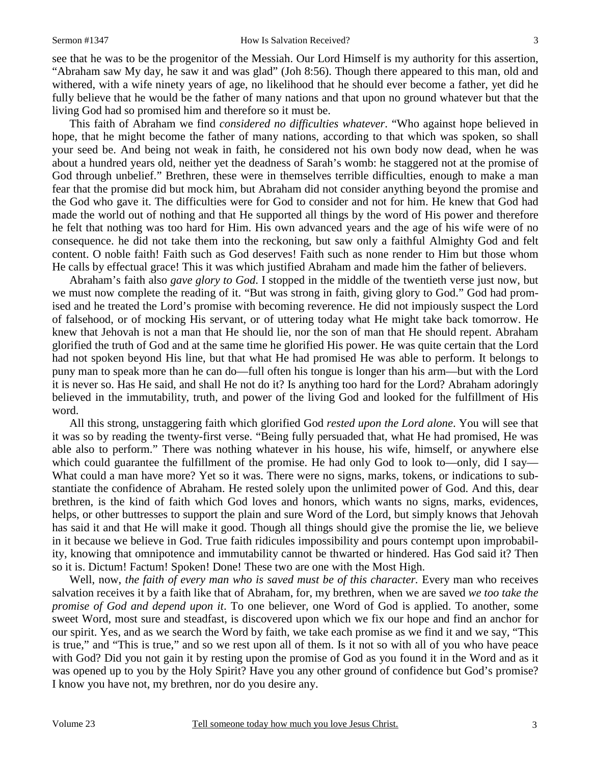see that he was to be the progenitor of the Messiah. Our Lord Himself is my authority for this assertion, "Abraham saw My day, he saw it and was glad" (Joh 8:56). Though there appeared to this man, old and withered, with a wife ninety years of age, no likelihood that he should ever become a father, yet did he fully believe that he would be the father of many nations and that upon no ground whatever but that the living God had so promised him and therefore so it must be.

This faith of Abraham we find *considered no difficulties whatever*. "Who against hope believed in hope, that he might become the father of many nations, according to that which was spoken, so shall your seed be. And being not weak in faith, he considered not his own body now dead, when he was about a hundred years old, neither yet the deadness of Sarah's womb: he staggered not at the promise of God through unbelief." Brethren, these were in themselves terrible difficulties, enough to make a man fear that the promise did but mock him, but Abraham did not consider anything beyond the promise and the God who gave it. The difficulties were for God to consider and not for him. He knew that God had made the world out of nothing and that He supported all things by the word of His power and therefore he felt that nothing was too hard for Him. His own advanced years and the age of his wife were of no consequence. he did not take them into the reckoning, but saw only a faithful Almighty God and felt content. O noble faith! Faith such as God deserves! Faith such as none render to Him but those whom He calls by effectual grace! This it was which justified Abraham and made him the father of believers.

Abraham's faith also *gave glory to God*. I stopped in the middle of the twentieth verse just now, but we must now complete the reading of it. "But was strong in faith, giving glory to God." God had promised and he treated the Lord's promise with becoming reverence. He did not impiously suspect the Lord of falsehood, or of mocking His servant, or of uttering today what He might take back tomorrow. He knew that Jehovah is not a man that He should lie, nor the son of man that He should repent. Abraham glorified the truth of God and at the same time he glorified His power. He was quite certain that the Lord had not spoken beyond His line, but that what He had promised He was able to perform. It belongs to puny man to speak more than he can do—full often his tongue is longer than his arm—but with the Lord it is never so. Has He said, and shall He not do it? Is anything too hard for the Lord? Abraham adoringly believed in the immutability, truth, and power of the living God and looked for the fulfillment of His word.

All this strong, unstaggering faith which glorified God *rested upon the Lord alone*. You will see that it was so by reading the twenty-first verse. "Being fully persuaded that, what He had promised, He was able also to perform." There was nothing whatever in his house, his wife, himself, or anywhere else which could guarantee the fulfillment of the promise. He had only God to look to—only, did I say— What could a man have more? Yet so it was. There were no signs, marks, tokens, or indications to substantiate the confidence of Abraham. He rested solely upon the unlimited power of God. And this, dear brethren, is the kind of faith which God loves and honors, which wants no signs, marks, evidences, helps, or other buttresses to support the plain and sure Word of the Lord, but simply knows that Jehovah has said it and that He will make it good. Though all things should give the promise the lie, we believe in it because we believe in God. True faith ridicules impossibility and pours contempt upon improbability, knowing that omnipotence and immutability cannot be thwarted or hindered. Has God said it? Then so it is. Dictum! Factum! Spoken! Done! These two are one with the Most High.

Well, now, *the faith of every man who is saved must be of this character*. Every man who receives salvation receives it by a faith like that of Abraham, for, my brethren, when we are saved *we too take the promise of God and depend upon it*. To one believer, one Word of God is applied. To another, some sweet Word, most sure and steadfast, is discovered upon which we fix our hope and find an anchor for our spirit. Yes, and as we search the Word by faith, we take each promise as we find it and we say, "This is true," and "This is true," and so we rest upon all of them. Is it not so with all of you who have peace with God? Did you not gain it by resting upon the promise of God as you found it in the Word and as it was opened up to you by the Holy Spirit? Have you any other ground of confidence but God's promise? I know you have not, my brethren, nor do you desire any.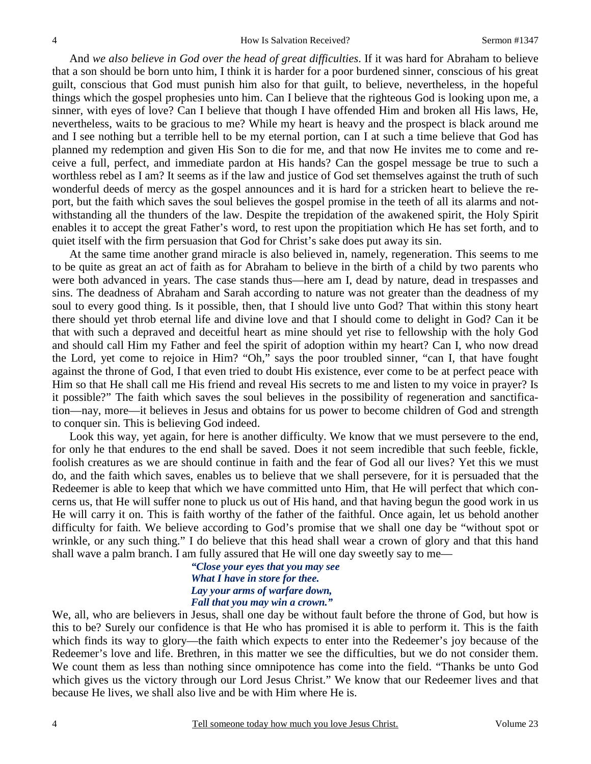And *we also believe in God over the head of great difficulties*. If it was hard for Abraham to believe that a son should be born unto him, I think it is harder for a poor burdened sinner, conscious of his great guilt, conscious that God must punish him also for that guilt, to believe, nevertheless, in the hopeful things which the gospel prophesies unto him. Can I believe that the righteous God is looking upon me, a sinner, with eyes of love? Can I believe that though I have offended Him and broken all His laws, He, nevertheless, waits to be gracious to me? While my heart is heavy and the prospect is black around me and I see nothing but a terrible hell to be my eternal portion, can I at such a time believe that God has planned my redemption and given His Son to die for me, and that now He invites me to come and receive a full, perfect, and immediate pardon at His hands? Can the gospel message be true to such a worthless rebel as I am? It seems as if the law and justice of God set themselves against the truth of such wonderful deeds of mercy as the gospel announces and it is hard for a stricken heart to believe the report, but the faith which saves the soul believes the gospel promise in the teeth of all its alarms and notwithstanding all the thunders of the law. Despite the trepidation of the awakened spirit, the Holy Spirit enables it to accept the great Father's word, to rest upon the propitiation which He has set forth, and to quiet itself with the firm persuasion that God for Christ's sake does put away its sin.

At the same time another grand miracle is also believed in, namely, regeneration. This seems to me to be quite as great an act of faith as for Abraham to believe in the birth of a child by two parents who were both advanced in years. The case stands thus—here am I, dead by nature, dead in trespasses and sins. The deadness of Abraham and Sarah according to nature was not greater than the deadness of my soul to every good thing. Is it possible, then, that I should live unto God? That within this stony heart there should yet throb eternal life and divine love and that I should come to delight in God? Can it be that with such a depraved and deceitful heart as mine should yet rise to fellowship with the holy God and should call Him my Father and feel the spirit of adoption within my heart? Can I, who now dread the Lord, yet come to rejoice in Him? "Oh," says the poor troubled sinner, "can I, that have fought against the throne of God, I that even tried to doubt His existence, ever come to be at perfect peace with Him so that He shall call me His friend and reveal His secrets to me and listen to my voice in prayer? Is it possible?" The faith which saves the soul believes in the possibility of regeneration and sanctification—nay, more—it believes in Jesus and obtains for us power to become children of God and strength to conquer sin. This is believing God indeed.

Look this way, yet again, for here is another difficulty. We know that we must persevere to the end, for only he that endures to the end shall be saved. Does it not seem incredible that such feeble, fickle, foolish creatures as we are should continue in faith and the fear of God all our lives? Yet this we must do, and the faith which saves, enables us to believe that we shall persevere, for it is persuaded that the Redeemer is able to keep that which we have committed unto Him, that He will perfect that which concerns us, that He will suffer none to pluck us out of His hand, and that having begun the good work in us He will carry it on. This is faith worthy of the father of the faithful. Once again, let us behold another difficulty for faith. We believe according to God's promise that we shall one day be "without spot or wrinkle, or any such thing." I do believe that this head shall wear a crown of glory and that this hand shall wave a palm branch. I am fully assured that He will one day sweetly say to me—

> *"Close your eyes that you may see What I have in store for thee. Lay your arms of warfare down, Fall that you may win a crown."*

We, all, who are believers in Jesus, shall one day be without fault before the throne of God, but how is this to be? Surely our confidence is that He who has promised it is able to perform it. This is the faith which finds its way to glory—the faith which expects to enter into the Redeemer's joy because of the Redeemer's love and life. Brethren, in this matter we see the difficulties, but we do not consider them. We count them as less than nothing since omnipotence has come into the field. "Thanks be unto God which gives us the victory through our Lord Jesus Christ." We know that our Redeemer lives and that because He lives, we shall also live and be with Him where He is.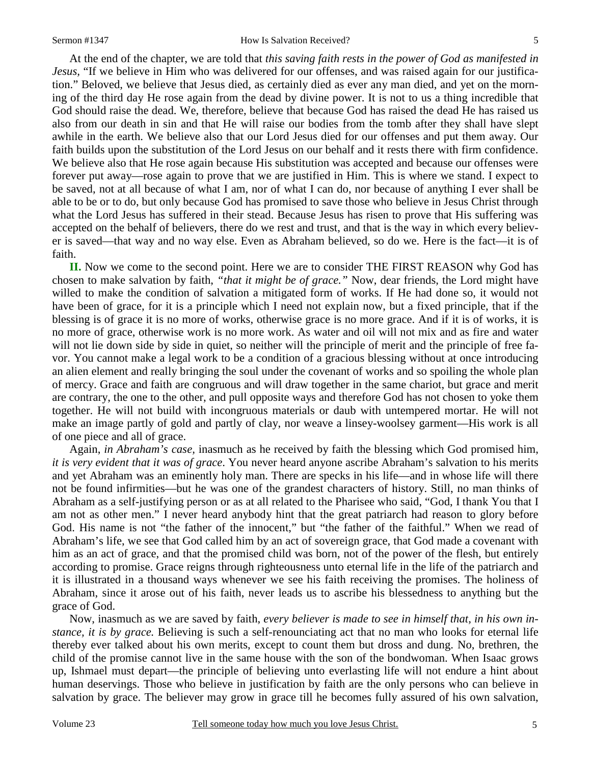#### Sermon #1347 How Is Salvation Received?

At the end of the chapter, we are told that *this saving faith rests in the power of God as manifested in Jesus,* "If we believe in Him who was delivered for our offenses, and was raised again for our justification." Beloved, we believe that Jesus died, as certainly died as ever any man died, and yet on the morning of the third day He rose again from the dead by divine power. It is not to us a thing incredible that God should raise the dead. We, therefore, believe that because God has raised the dead He has raised us also from our death in sin and that He will raise our bodies from the tomb after they shall have slept awhile in the earth. We believe also that our Lord Jesus died for our offenses and put them away. Our faith builds upon the substitution of the Lord Jesus on our behalf and it rests there with firm confidence. We believe also that He rose again because His substitution was accepted and because our offenses were forever put away—rose again to prove that we are justified in Him. This is where we stand. I expect to be saved, not at all because of what I am, nor of what I can do, nor because of anything I ever shall be able to be or to do, but only because God has promised to save those who believe in Jesus Christ through what the Lord Jesus has suffered in their stead. Because Jesus has risen to prove that His suffering was accepted on the behalf of believers, there do we rest and trust, and that is the way in which every believer is saved—that way and no way else. Even as Abraham believed, so do we. Here is the fact—it is of faith.

**II.** Now we come to the second point. Here we are to consider THE FIRST REASON why God has chosen to make salvation by faith, *"that it might be of grace."* Now, dear friends, the Lord might have willed to make the condition of salvation a mitigated form of works. If He had done so, it would not have been of grace, for it is a principle which I need not explain now, but a fixed principle, that if the blessing is of grace it is no more of works, otherwise grace is no more grace. And if it is of works, it is no more of grace, otherwise work is no more work. As water and oil will not mix and as fire and water will not lie down side by side in quiet, so neither will the principle of merit and the principle of free favor. You cannot make a legal work to be a condition of a gracious blessing without at once introducing an alien element and really bringing the soul under the covenant of works and so spoiling the whole plan of mercy. Grace and faith are congruous and will draw together in the same chariot, but grace and merit are contrary, the one to the other, and pull opposite ways and therefore God has not chosen to yoke them together. He will not build with incongruous materials or daub with untempered mortar. He will not make an image partly of gold and partly of clay, nor weave a linsey-woolsey garment—His work is all of one piece and all of grace.

Again, *in Abraham's case,* inasmuch as he received by faith the blessing which God promised him, *it is very evident that it was of grace*. You never heard anyone ascribe Abraham's salvation to his merits and yet Abraham was an eminently holy man. There are specks in his life—and in whose life will there not be found infirmities—but he was one of the grandest characters of history. Still, no man thinks of Abraham as a self-justifying person or as at all related to the Pharisee who said, "God, I thank You that I am not as other men." I never heard anybody hint that the great patriarch had reason to glory before God. His name is not "the father of the innocent," but "the father of the faithful." When we read of Abraham's life, we see that God called him by an act of sovereign grace, that God made a covenant with him as an act of grace, and that the promised child was born, not of the power of the flesh, but entirely according to promise. Grace reigns through righteousness unto eternal life in the life of the patriarch and it is illustrated in a thousand ways whenever we see his faith receiving the promises. The holiness of Abraham, since it arose out of his faith, never leads us to ascribe his blessedness to anything but the grace of God.

Now, inasmuch as we are saved by faith, *every believer is made to see in himself that, in his own instance, it is by grace.* Believing is such a self-renounciating act that no man who looks for eternal life thereby ever talked about his own merits, except to count them but dross and dung. No, brethren, the child of the promise cannot live in the same house with the son of the bondwoman. When Isaac grows up, Ishmael must depart—the principle of believing unto everlasting life will not endure a hint about human deservings. Those who believe in justification by faith are the only persons who can believe in salvation by grace. The believer may grow in grace till he becomes fully assured of his own salvation,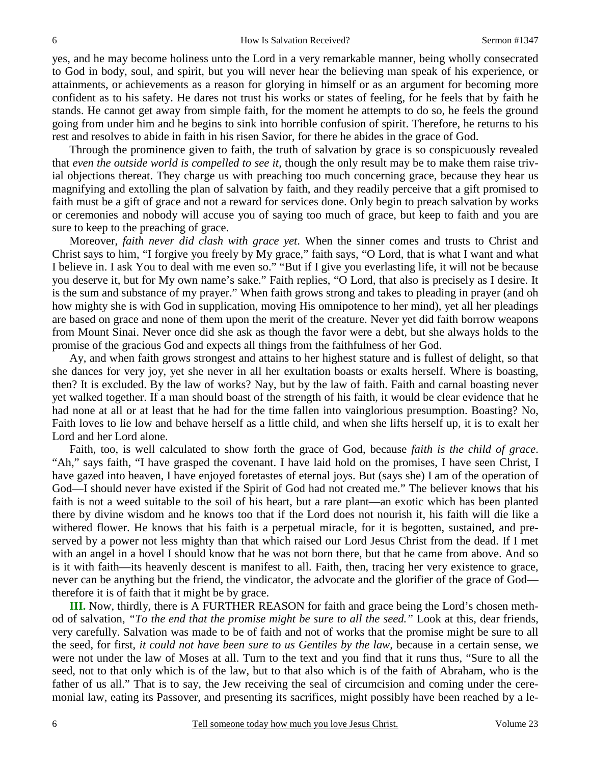yes, and he may become holiness unto the Lord in a very remarkable manner, being wholly consecrated to God in body, soul, and spirit, but you will never hear the believing man speak of his experience, or attainments, or achievements as a reason for glorying in himself or as an argument for becoming more confident as to his safety. He dares not trust his works or states of feeling, for he feels that by faith he stands. He cannot get away from simple faith, for the moment he attempts to do so, he feels the ground going from under him and he begins to sink into horrible confusion of spirit. Therefore, he returns to his rest and resolves to abide in faith in his risen Savior, for there he abides in the grace of God.

Through the prominence given to faith, the truth of salvation by grace is so conspicuously revealed that *even the outside world is compelled to see it,* though the only result may be to make them raise trivial objections thereat. They charge us with preaching too much concerning grace, because they hear us magnifying and extolling the plan of salvation by faith, and they readily perceive that a gift promised to faith must be a gift of grace and not a reward for services done. Only begin to preach salvation by works or ceremonies and nobody will accuse you of saying too much of grace, but keep to faith and you are sure to keep to the preaching of grace.

Moreover, *faith never did clash with grace yet*. When the sinner comes and trusts to Christ and Christ says to him, "I forgive you freely by My grace," faith says, "O Lord, that is what I want and what I believe in. I ask You to deal with me even so." "But if I give you everlasting life, it will not be because you deserve it, but for My own name's sake." Faith replies, "O Lord, that also is precisely as I desire. It is the sum and substance of my prayer." When faith grows strong and takes to pleading in prayer (and oh how mighty she is with God in supplication, moving His omnipotence to her mind), yet all her pleadings are based on grace and none of them upon the merit of the creature. Never yet did faith borrow weapons from Mount Sinai. Never once did she ask as though the favor were a debt, but she always holds to the promise of the gracious God and expects all things from the faithfulness of her God.

Ay, and when faith grows strongest and attains to her highest stature and is fullest of delight, so that she dances for very joy, yet she never in all her exultation boasts or exalts herself. Where is boasting, then? It is excluded. By the law of works? Nay, but by the law of faith. Faith and carnal boasting never yet walked together. If a man should boast of the strength of his faith, it would be clear evidence that he had none at all or at least that he had for the time fallen into vainglorious presumption. Boasting? No, Faith loves to lie low and behave herself as a little child, and when she lifts herself up, it is to exalt her Lord and her Lord alone.

Faith, too, is well calculated to show forth the grace of God, because *faith is the child of grace*. "Ah," says faith, "I have grasped the covenant. I have laid hold on the promises, I have seen Christ, I have gazed into heaven, I have enjoyed foretastes of eternal joys. But (says she) I am of the operation of God—I should never have existed if the Spirit of God had not created me." The believer knows that his faith is not a weed suitable to the soil of his heart, but a rare plant—an exotic which has been planted there by divine wisdom and he knows too that if the Lord does not nourish it, his faith will die like a withered flower. He knows that his faith is a perpetual miracle, for it is begotten, sustained, and preserved by a power not less mighty than that which raised our Lord Jesus Christ from the dead. If I met with an angel in a hovel I should know that he was not born there, but that he came from above. And so is it with faith—its heavenly descent is manifest to all. Faith, then, tracing her very existence to grace, never can be anything but the friend, the vindicator, the advocate and the glorifier of the grace of God therefore it is of faith that it might be by grace.

 **III.** Now, thirdly, there is A FURTHER REASON for faith and grace being the Lord's chosen method of salvation, *"To the end that the promise might be sure to all the seed."* Look at this, dear friends, very carefully. Salvation was made to be of faith and not of works that the promise might be sure to all the seed, for first, *it could not have been sure to us Gentiles by the law,* because in a certain sense, we were not under the law of Moses at all. Turn to the text and you find that it runs thus, "Sure to all the seed, not to that only which is of the law, but to that also which is of the faith of Abraham, who is the father of us all." That is to say, the Jew receiving the seal of circumcision and coming under the ceremonial law, eating its Passover, and presenting its sacrifices, might possibly have been reached by a le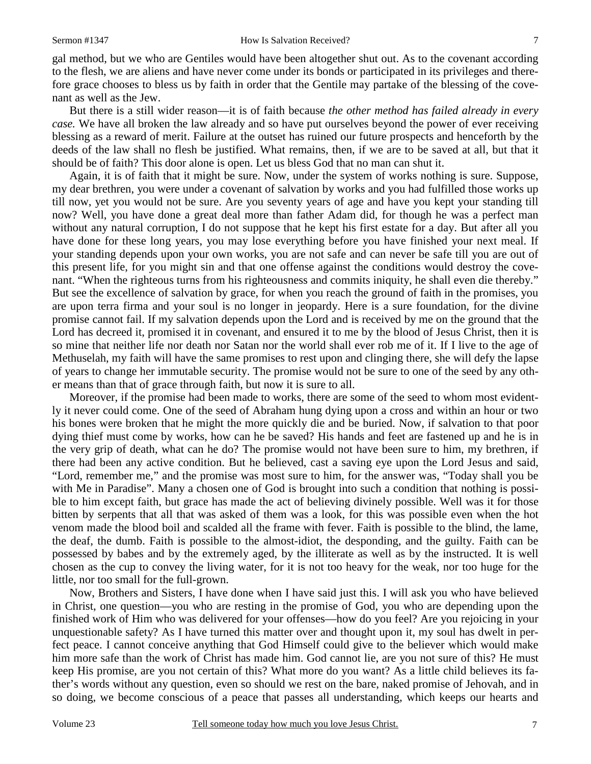gal method, but we who are Gentiles would have been altogether shut out. As to the covenant according to the flesh, we are aliens and have never come under its bonds or participated in its privileges and therefore grace chooses to bless us by faith in order that the Gentile may partake of the blessing of the covenant as well as the Jew.

 But there is a still wider reason—it is of faith because *the other method has failed already in every case.* We have all broken the law already and so have put ourselves beyond the power of ever receiving blessing as a reward of merit. Failure at the outset has ruined our future prospects and henceforth by the deeds of the law shall no flesh be justified. What remains, then, if we are to be saved at all, but that it should be of faith? This door alone is open. Let us bless God that no man can shut it.

 Again, it is of faith that it might be sure. Now, under the system of works nothing is sure. Suppose, my dear brethren, you were under a covenant of salvation by works and you had fulfilled those works up till now, yet you would not be sure. Are you seventy years of age and have you kept your standing till now? Well, you have done a great deal more than father Adam did, for though he was a perfect man without any natural corruption, I do not suppose that he kept his first estate for a day. But after all you have done for these long years, you may lose everything before you have finished your next meal. If your standing depends upon your own works, you are not safe and can never be safe till you are out of this present life, for you might sin and that one offense against the conditions would destroy the covenant. "When the righteous turns from his righteousness and commits iniquity, he shall even die thereby." But see the excellence of salvation by grace, for when you reach the ground of faith in the promises, you are upon terra firma and your soul is no longer in jeopardy. Here is a sure foundation, for the divine promise cannot fail. If my salvation depends upon the Lord and is received by me on the ground that the Lord has decreed it, promised it in covenant, and ensured it to me by the blood of Jesus Christ, then it is so mine that neither life nor death nor Satan nor the world shall ever rob me of it. If I live to the age of Methuselah, my faith will have the same promises to rest upon and clinging there, she will defy the lapse of years to change her immutable security. The promise would not be sure to one of the seed by any other means than that of grace through faith, but now it is sure to all.

 Moreover, if the promise had been made to works, there are some of the seed to whom most evidently it never could come. One of the seed of Abraham hung dying upon a cross and within an hour or two his bones were broken that he might the more quickly die and be buried. Now, if salvation to that poor dying thief must come by works, how can he be saved? His hands and feet are fastened up and he is in the very grip of death, what can he do? The promise would not have been sure to him, my brethren, if there had been any active condition. But he believed, cast a saving eye upon the Lord Jesus and said, "Lord, remember me," and the promise was most sure to him, for the answer was, "Today shall you be with Me in Paradise". Many a chosen one of God is brought into such a condition that nothing is possible to him except faith, but grace has made the act of believing divinely possible. Well was it for those bitten by serpents that all that was asked of them was a look, for this was possible even when the hot venom made the blood boil and scalded all the frame with fever. Faith is possible to the blind, the lame, the deaf, the dumb. Faith is possible to the almost-idiot, the desponding, and the guilty. Faith can be possessed by babes and by the extremely aged, by the illiterate as well as by the instructed. It is well chosen as the cup to convey the living water, for it is not too heavy for the weak, nor too huge for the little, nor too small for the full-grown.

 Now, Brothers and Sisters, I have done when I have said just this. I will ask you who have believed in Christ, one question—you who are resting in the promise of God, you who are depending upon the finished work of Him who was delivered for your offenses—how do you feel? Are you rejoicing in your unquestionable safety? As I have turned this matter over and thought upon it, my soul has dwelt in perfect peace. I cannot conceive anything that God Himself could give to the believer which would make him more safe than the work of Christ has made him. God cannot lie, are you not sure of this? He must keep His promise, are you not certain of this? What more do you want? As a little child believes its father's words without any question, even so should we rest on the bare, naked promise of Jehovah, and in so doing, we become conscious of a peace that passes all understanding, which keeps our hearts and

7